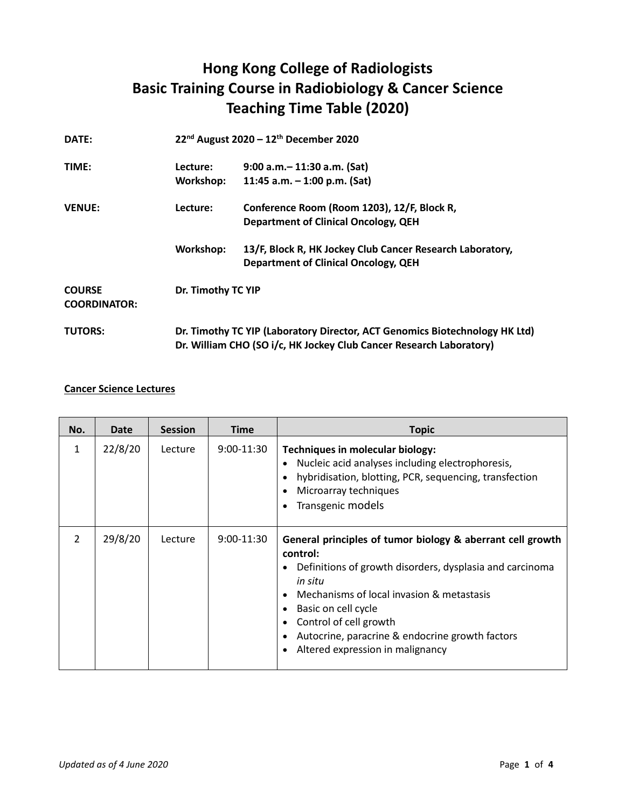## **Hong Kong College of Radiologists Basic Training Course in Radiobiology & Cancer Science Teaching Time Table (2020)**

| DATE:                                |           | 22 <sup>nd</sup> August 2020 - 12 <sup>th</sup> December 2020                                                                                      |  |  |
|--------------------------------------|-----------|----------------------------------------------------------------------------------------------------------------------------------------------------|--|--|
| TIME:                                | Lecture:  | $9:00$ a.m. $-11:30$ a.m. (Sat)                                                                                                                    |  |  |
|                                      | Workshop: | 11:45 a.m. $-$ 1:00 p.m. (Sat)                                                                                                                     |  |  |
| <b>VENUE:</b>                        | Lecture:  | Conference Room (Room 1203), 12/F, Block R,                                                                                                        |  |  |
|                                      |           | <b>Department of Clinical Oncology, QEH</b>                                                                                                        |  |  |
|                                      | Workshop: | 13/F, Block R, HK Jockey Club Cancer Research Laboratory,                                                                                          |  |  |
|                                      |           | <b>Department of Clinical Oncology, QEH</b>                                                                                                        |  |  |
| <b>COURSE</b><br><b>COORDINATOR:</b> |           | Dr. Timothy TC YIP                                                                                                                                 |  |  |
| <b>TUTORS:</b>                       |           | Dr. Timothy TC YIP (Laboratory Director, ACT Genomics Biotechnology HK Ltd)<br>Dr. William CHO (SO i/c, HK Jockey Club Cancer Research Laboratory) |  |  |

## **Cancer Science Lectures**

| No.           | Date    | <b>Session</b> | <b>Time</b>  | <b>Topic</b>                                                                                                                                                                                                                                                                                                                            |
|---------------|---------|----------------|--------------|-----------------------------------------------------------------------------------------------------------------------------------------------------------------------------------------------------------------------------------------------------------------------------------------------------------------------------------------|
| $\mathbf{1}$  | 22/8/20 | Lecture        | $9:00-11:30$ | Techniques in molecular biology:<br>Nucleic acid analyses including electrophoresis,<br>$\bullet$<br>hybridisation, blotting, PCR, sequencing, transfection<br>٠<br>Microarray techniques<br>$\bullet$<br>Transgenic models<br>$\bullet$                                                                                                |
| $\mathcal{P}$ | 29/8/20 | Lecture        | $9:00-11:30$ | General principles of tumor biology & aberrant cell growth<br>control:<br>Definitions of growth disorders, dysplasia and carcinoma<br>٠<br>in situ<br>Mechanisms of local invasion & metastasis<br>Basic on cell cycle<br>Control of cell growth<br>Autocrine, paracrine & endocrine growth factors<br>Altered expression in malignancy |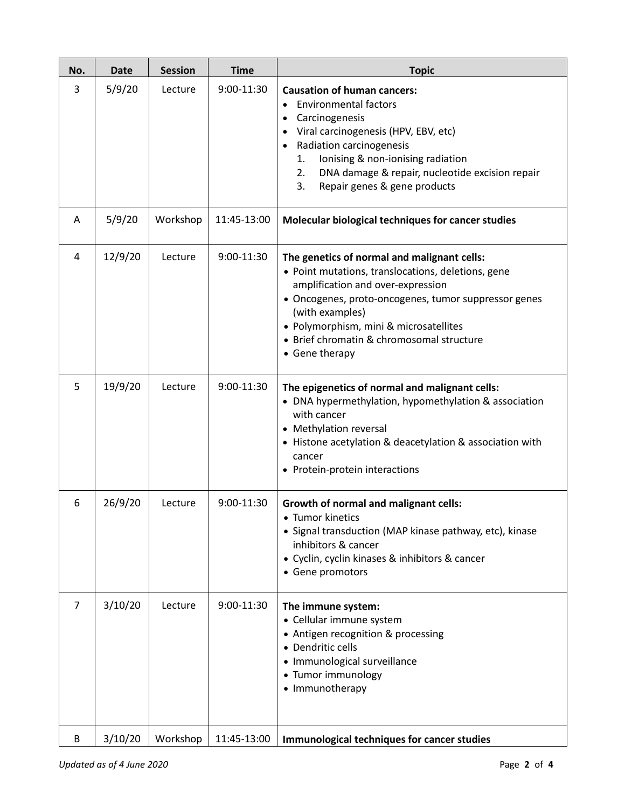| No.            | <b>Date</b> | <b>Session</b> | <b>Time</b> | <b>Topic</b>                                                                                                                                                                                                                                                                                                               |
|----------------|-------------|----------------|-------------|----------------------------------------------------------------------------------------------------------------------------------------------------------------------------------------------------------------------------------------------------------------------------------------------------------------------------|
| 3              | 5/9/20      | Lecture        | 9:00-11:30  | <b>Causation of human cancers:</b><br><b>Environmental factors</b><br>Carcinogenesis<br>Viral carcinogenesis (HPV, EBV, etc)<br>Radiation carcinogenesis<br>$\bullet$<br>Ionising & non-ionising radiation<br>1.<br>DNA damage & repair, nucleotide excision repair<br>2.<br>3.<br>Repair genes & gene products            |
| A              | 5/9/20      | Workshop       | 11:45-13:00 | Molecular biological techniques for cancer studies                                                                                                                                                                                                                                                                         |
| 4              | 12/9/20     | Lecture        | 9:00-11:30  | The genetics of normal and malignant cells:<br>• Point mutations, translocations, deletions, gene<br>amplification and over-expression<br>· Oncogenes, proto-oncogenes, tumor suppressor genes<br>(with examples)<br>• Polymorphism, mini & microsatellites<br>• Brief chromatin & chromosomal structure<br>• Gene therapy |
| 5              | 19/9/20     | Lecture        | 9:00-11:30  | The epigenetics of normal and malignant cells:<br>• DNA hypermethylation, hypomethylation & association<br>with cancer<br>• Methylation reversal<br>• Histone acetylation & deacetylation & association with<br>cancer<br>• Protein-protein interactions                                                                   |
| 6              | 26/9/20     | Lecture        | 9:00-11:30  | <b>Growth of normal and malignant cells:</b><br>• Tumor kinetics<br>• Signal transduction (MAP kinase pathway, etc), kinase<br>inhibitors & cancer<br>• Cyclin, cyclin kinases & inhibitors & cancer<br>• Gene promotors                                                                                                   |
| $\overline{7}$ | 3/10/20     | Lecture        | 9:00-11:30  | The immune system:<br>• Cellular immune system<br>• Antigen recognition & processing<br>• Dendritic cells<br>· Immunological surveillance<br>• Tumor immunology<br>• Immunotherapy                                                                                                                                         |
| B              | 3/10/20     | Workshop       | 11:45-13:00 | Immunological techniques for cancer studies                                                                                                                                                                                                                                                                                |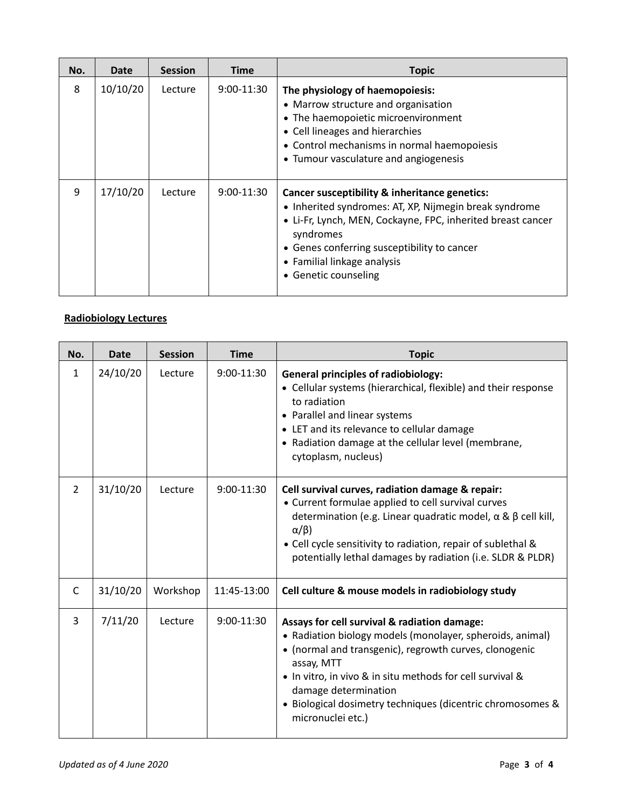| No. | Date     | <b>Session</b> | <b>Time</b>  | <b>Topic</b>                                                                                                                                                                                                                                                                              |
|-----|----------|----------------|--------------|-------------------------------------------------------------------------------------------------------------------------------------------------------------------------------------------------------------------------------------------------------------------------------------------|
| 8   | 10/10/20 | Lecture        | 9:00-11:30   | The physiology of haemopoiesis:<br>• Marrow structure and organisation<br>• The haemopoietic microenvironment<br>• Cell lineages and hierarchies<br>• Control mechanisms in normal haemopoiesis<br>• Tumour vasculature and angiogenesis                                                  |
| 9   | 17/10/20 | Lecture        | $9:00-11:30$ | Cancer susceptibility & inheritance genetics:<br>• Inherited syndromes: AT, XP, Nijmegin break syndrome<br>• Li-Fr, Lynch, MEN, Cockayne, FPC, inherited breast cancer<br>syndromes<br>• Genes conferring susceptibility to cancer<br>• Familial linkage analysis<br>• Genetic counseling |

## **Radiobiology Lectures**

| No.           | Date     | <b>Session</b> | <b>Time</b>  | <b>Topic</b>                                                                                                                                                                                                                                                                                                                                              |
|---------------|----------|----------------|--------------|-----------------------------------------------------------------------------------------------------------------------------------------------------------------------------------------------------------------------------------------------------------------------------------------------------------------------------------------------------------|
| 1             | 24/10/20 | Lecture        | 9:00-11:30   | <b>General principles of radiobiology:</b><br>• Cellular systems (hierarchical, flexible) and their response<br>to radiation<br>• Parallel and linear systems<br>• LET and its relevance to cellular damage<br>• Radiation damage at the cellular level (membrane,<br>cytoplasm, nucleus)                                                                 |
| $\mathcal{L}$ | 31/10/20 | Lecture        | $9:00-11:30$ | Cell survival curves, radiation damage & repair:<br>• Current formulae applied to cell survival curves<br>determination (e.g. Linear quadratic model, $\alpha$ & $\beta$ cell kill,<br>$\alpha/\beta$ )<br>• Cell cycle sensitivity to radiation, repair of sublethal &<br>potentially lethal damages by radiation (i.e. SLDR & PLDR)                     |
| C             | 31/10/20 | Workshop       | 11:45-13:00  | Cell culture & mouse models in radiobiology study                                                                                                                                                                                                                                                                                                         |
| 3             | 7/11/20  | Lecture        | $9:00-11:30$ | Assays for cell survival & radiation damage:<br>• Radiation biology models (monolayer, spheroids, animal)<br>• (normal and transgenic), regrowth curves, clonogenic<br>assay, MTT<br>• In vitro, in vivo & in situ methods for cell survival &<br>damage determination<br>· Biological dosimetry techniques (dicentric chromosomes &<br>micronuclei etc.) |